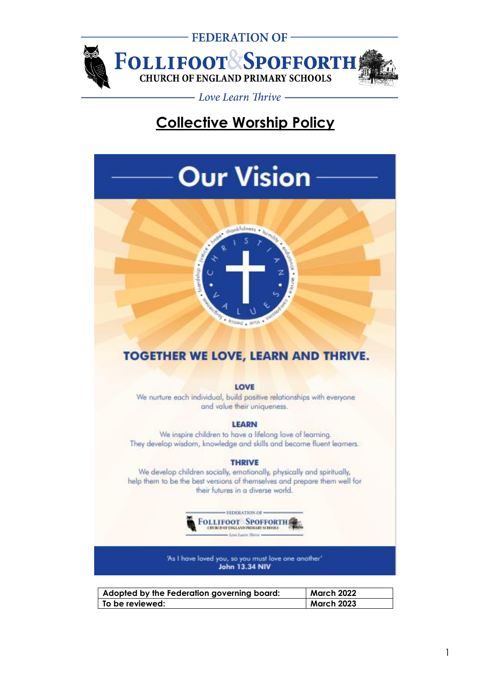

# **Collective Worship Policy**

# **Our Vision**



# **TOGETHER WE LOVE, LEARN AND THRIVE.**

#### LOVE

We nurture each individual, build positive relationships with everyone and value their uniqueness.

#### **LEARN**

We inspire children to have a lifelong love of learning. They develop wisdom, knowledge and skills and become fluent learners.

#### **THRIVE**

We develop children socially, emotionally, physically and spiritually, help them to be the best versions of themselves and prepare them well for their futures in a diverse world.



'As I have loved you, so you must love one another'<br>John 13.34 NIV

| Adopted by the Federation governing board: | <b>March 2022</b> |
|--------------------------------------------|-------------------|
| l To be reviewed: l                        | <b>March 2023</b> |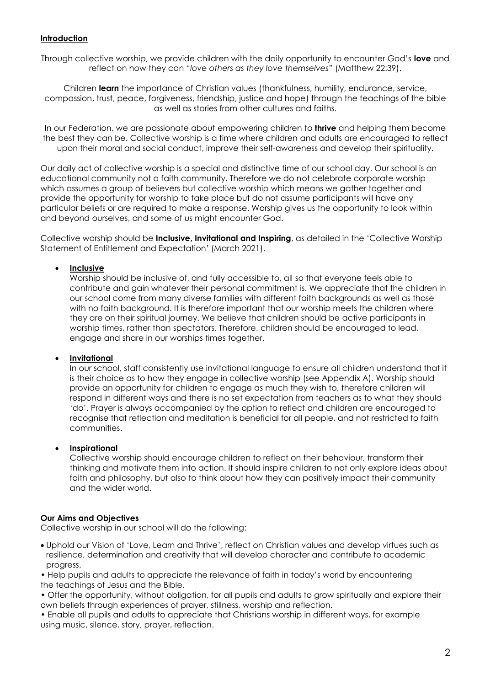#### **Introduction**

Through collective worship, we provide children with the daily opportunity to encounter God's **love** and reflect on how they can "*love others as they love themselves*" (Matthew 22:39).

Children **learn** the importance of Christian values (thankfulness, humility, endurance, service, compassion, trust, peace, forgiveness, friendship, justice and hope) through the teachings of the bible as well as stories from other cultures and faiths.

In our Federation, we are passionate about empowering children to **thrive** and helping them become the best they can be. Collective worship is a time where children and adults are encouraged to reflect upon their moral and social conduct, improve their self-awareness and develop their spirituality.

Our daily act of collective worship is a special and distinctive time of our school day. Our school is an educational community not a faith community. Therefore we do not celebrate corporate worship which assumes a group of believers but collective worship which means we gather together and provide the opportunity for worship to take place but do not assume participants will have any particular beliefs or are required to make a response. Worship gives us the opportunity to look within and beyond ourselves, and some of us might encounter God.

Collective worship should be **Inclusive, Invitational and Inspiring**, as detailed in the 'Collective Worship Statement of Entitlement and Expectation' (March 2021).

#### • **Inclusive**

Worship should be inclusive of, and fully accessible to, all so that everyone feels able to contribute and gain whatever their personal commitment is. We appreciate that the children in our school come from many diverse families with different faith backgrounds as well as those with no faith background. It is therefore important that our worship meets the children where they are on their spiritual journey. We believe that children should be active participants in worship times, rather than spectators. Therefore, children should be encouraged to lead, engage and share in our worships times together.

#### • **Invitational**

In our school, staff consistently use invitational language to ensure all children understand that it is their choice as to how they engage in collective worship (see Appendix A). Worship should provide an opportunity for children to engage as much they wish to, therefore children will respond in different ways and there is no set expectation from teachers as to what they should 'do'. Prayer is always accompanied by the option to reflect and children are encouraged to recognise that reflection and meditation is beneficial for all people, and not restricted to faith communities.

#### • **Inspirational**

Collective worship should encourage children to reflect on their behaviour, transform their thinking and motivate them into action. It should inspire children to not only explore ideas about faith and philosophy, but also to think about how they can positively impact their community and the wider world.

#### **Our Aims and Objectives**

Collective worship in our school will do the following:

• Uphold our Vision of 'Love, Learn and Thrive', reflect on Christian values and develop virtues such as resilience, determination and creativity that will develop character and contribute to academic progress.

• Help pupils and adults to appreciate the relevance of faith in today's world by encountering the teachings of Jesus and the Bible.

• Offer the opportunity, without obligation, for all pupils and adults to grow spiritually and explore their own beliefs through experiences of prayer, stillness, worship and reflection.

• Enable all pupils and adults to appreciate that Christians worship in different ways, for example using music, silence, story, prayer, reflection.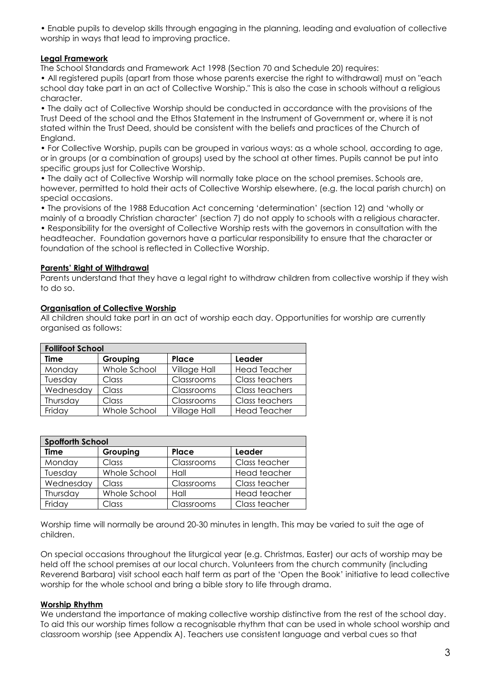• Enable pupils to develop skills through engaging in the planning, leading and evaluation of collective worship in ways that lead to improving practice.

#### **Legal Framework**

The School Standards and Framework Act 1998 (Section 70 and Schedule 20) requires:

• All registered pupils (apart from those whose parents exercise the right to withdrawal) must on "each school day take part in an act of Collective Worship." This is also the case in schools without a religious character.

• The daily act of Collective Worship should be conducted in accordance with the provisions of the Trust Deed of the school and the Ethos Statement in the Instrument of Government or, where it is not stated within the Trust Deed, should be consistent with the beliefs and practices of the Church of England.

• For Collective Worship, pupils can be grouped in various ways: as a whole school, according to age, or in groups (or a combination of groups) used by the school at other times. Pupils cannot be put into specific groups just for Collective Worship.

• The daily act of Collective Worship will normally take place on the school premises. Schools are, however, permitted to hold their acts of Collective Worship elsewhere, (e.g. the local parish church) on special occasions.

• The provisions of the 1988 Education Act concerning 'determination' (section 12) and 'wholly or mainly of a broadly Christian character' (section 7) do not apply to schools with a religious character.

• Responsibility for the oversight of Collective Worship rests with the governors in consultation with the headteacher. Foundation governors have a particular responsibility to ensure that the character or foundation of the school is reflected in Collective Worship.

#### **Parents' Right of Withdrawal**

Parents understand that they have a legal right to withdraw children from collective worship if they wish to do so.

#### **Organisation of Collective Worship**

All children should take part in an act of worship each day. Opportunities for worship are currently organised as follows:

| <b>Follifoot School</b> |              |                     |                     |
|-------------------------|--------------|---------------------|---------------------|
| Time                    | Grouping     | Place               | Leader              |
| Monday                  | Whole School | <b>Village Hall</b> | <b>Head Teacher</b> |
| Tuesday                 | Class        | Classrooms          | Class teachers      |
| Wednesday               | Class        | Classrooms          | Class teachers      |
| Thursday                | Class        | Classrooms          | Class teachers      |
| Friday                  | Whole School | Village Hall        | <b>Head Teacher</b> |

| <b>Spofforth School</b> |              |            |               |
|-------------------------|--------------|------------|---------------|
| <b>Time</b>             | Grouping     | Place      | Leader        |
| Monday                  | Class        | Classrooms | Class teacher |
| Tuesday                 | Whole School | Hall       | Head teacher  |
| Wednesday               | Class        | Classrooms | Class teacher |
| Thursday                | Whole School | Hall       | Head teacher  |
| Friday                  | Class        | Classrooms | Class teacher |

Worship time will normally be around 20-30 minutes in length. This may be varied to suit the age of children.

On special occasions throughout the liturgical year (e.g. Christmas, Easter) our acts of worship may be held off the school premises at our local church. Volunteers from the church community (including Reverend Barbara) visit school each half term as part of the 'Open the Book' initiative to lead collective worship for the whole school and bring a bible story to life through drama.

#### **Worship Rhythm**

We understand the importance of making collective worship distinctive from the rest of the school day. To aid this our worship times follow a recognisable rhythm that can be used in whole school worship and classroom worship (see Appendix A). Teachers use consistent language and verbal cues so that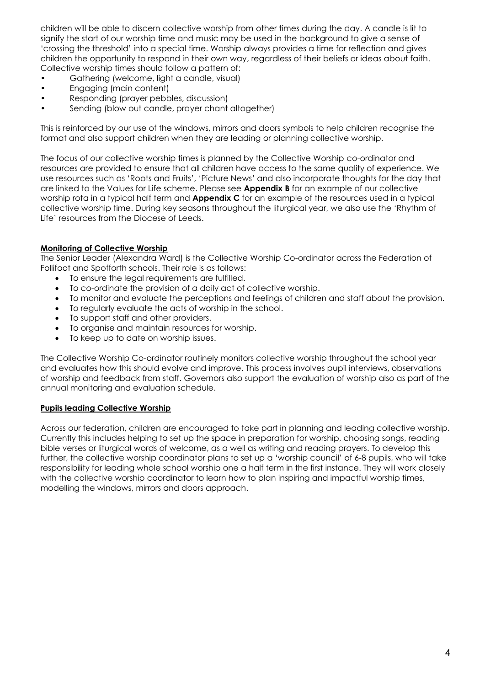children will be able to discern collective worship from other times during the day. A candle is lit to signify the start of our worship time and music may be used in the background to give a sense of 'crossing the threshold' into a special time. Worship always provides a time for reflection and gives children the opportunity to respond in their own way, regardless of their beliefs or ideas about faith. Collective worship times should follow a pattern of:

- Gathering (welcome, light a candle, visual)
- Engaging (main content)
- Responding (prayer pebbles, discussion)
- Sending (blow out candle, prayer chant altogether)

This is reinforced by our use of the windows, mirrors and doors symbols to help children recognise the format and also support children when they are leading or planning collective worship.

The focus of our collective worship times is planned by the Collective Worship co-ordinator and resources are provided to ensure that all children have access to the same quality of experience. We use resources such as 'Roots and Fruits', 'Picture News' and also incorporate thoughts for the day that are linked to the Values for Life scheme. Please see **Appendix B** for an example of our collective worship rota in a typical half term and **Appendix C** for an example of the resources used in a typical collective worship time. During key seasons throughout the liturgical year, we also use the 'Rhythm of Life' resources from the Diocese of Leeds.

#### **Monitoring of Collective Worship**

The Senior Leader (Alexandra Ward) is the Collective Worship Co-ordinator across the Federation of Follifoot and Spofforth schools. Their role is as follows:

- To ensure the legal requirements are fulfilled.
- To co-ordinate the provision of a daily act of collective worship.
- To monitor and evaluate the perceptions and feelings of children and staff about the provision.
- To regularly evaluate the acts of worship in the school.
- To support staff and other providers.
- To organise and maintain resources for worship.
- To keep up to date on worship issues.

The Collective Worship Co-ordinator routinely monitors collective worship throughout the school year and evaluates how this should evolve and improve. This process involves pupil interviews, observations of worship and feedback from staff. Governors also support the evaluation of worship also as part of the annual monitoring and evaluation schedule.

#### **Pupils leading Collective Worship**

Across our federation, children are encouraged to take part in planning and leading collective worship. Currently this includes helping to set up the space in preparation for worship, choosing songs, reading bible verses or liturgical words of welcome, as a well as writing and reading prayers. To develop this further, the collective worship coordinator plans to set up a 'worship council' of 6-8 pupils, who will take responsibility for leading whole school worship one a half term in the first instance. They will work closely with the collective worship coordinator to learn how to plan inspiring and impactful worship times, modelling the windows, mirrors and doors approach.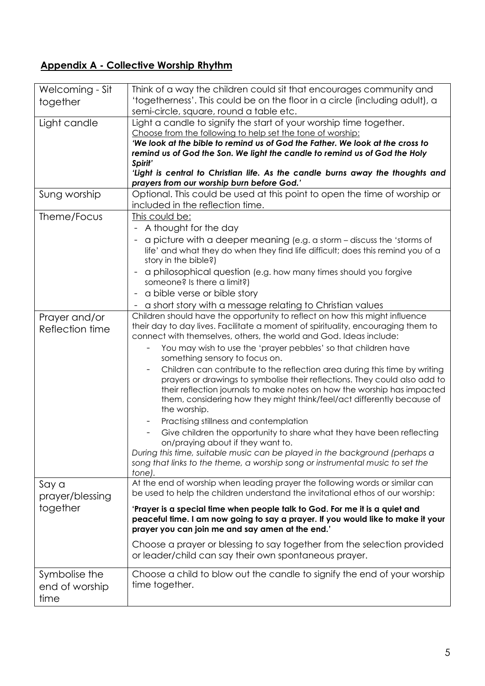# **Appendix A - Collective Worship Rhythm**

| Welcoming - Sit                         | Think of a way the children could sit that encourages community and                                                                                                                                                                                                                                                           |
|-----------------------------------------|-------------------------------------------------------------------------------------------------------------------------------------------------------------------------------------------------------------------------------------------------------------------------------------------------------------------------------|
| together                                | 'togetherness'. This could be on the floor in a circle (including adult), a                                                                                                                                                                                                                                                   |
|                                         | semi-circle, square, round a table etc.                                                                                                                                                                                                                                                                                       |
| Light candle                            | Light a candle to signify the start of your worship time together.<br>Choose from the following to help set the tone of worship:                                                                                                                                                                                              |
|                                         | 'We look at the bible to remind us of God the Father. We look at the cross to                                                                                                                                                                                                                                                 |
|                                         | remind us of God the Son. We light the candle to remind us of God the Holy                                                                                                                                                                                                                                                    |
|                                         | Spirit'                                                                                                                                                                                                                                                                                                                       |
|                                         | 'Light is central to Christian life. As the candle burns away the thoughts and                                                                                                                                                                                                                                                |
|                                         | prayers from our worship burn before God.'<br>Optional. This could be used at this point to open the time of worship or                                                                                                                                                                                                       |
| Sung worship                            | included in the reflection time.                                                                                                                                                                                                                                                                                              |
| Theme/Focus                             | This could be:                                                                                                                                                                                                                                                                                                                |
|                                         | - A thought for the day                                                                                                                                                                                                                                                                                                       |
|                                         | a picture with a deeper meaning (e.g. a storm - discuss the 'storms of                                                                                                                                                                                                                                                        |
|                                         | life' and what they do when they find life difficult; does this remind you of a<br>story in the bible?)                                                                                                                                                                                                                       |
|                                         | a philosophical question (e.g. how many times should you forgive<br>someone? Is there a limit?)                                                                                                                                                                                                                               |
|                                         | a bible verse or bible story                                                                                                                                                                                                                                                                                                  |
|                                         | a short story with a message relating to Christian values                                                                                                                                                                                                                                                                     |
| Prayer and/or                           | Children should have the opportunity to reflect on how this might influence                                                                                                                                                                                                                                                   |
| Reflection time                         | their day to day lives. Facilitate a moment of spirituality, encouraging them to<br>connect with themselves, others, the world and God. Ideas include:                                                                                                                                                                        |
|                                         | You may wish to use the 'prayer pebbles' so that children have<br>$\overline{\phantom{0}}$<br>something sensory to focus on.                                                                                                                                                                                                  |
|                                         | Children can contribute to the reflection area during this time by writing<br>prayers or drawings to symbolise their reflections. They could also add to<br>their reflection journals to make notes on how the worship has impacted<br>them, considering how they might think/feel/act differently because of<br>the worship. |
|                                         | Practising stillness and contemplation                                                                                                                                                                                                                                                                                        |
|                                         | Give children the opportunity to share what they have been reflecting<br>on/praying about if they want to.                                                                                                                                                                                                                    |
|                                         | During this time, suitable music can be played in the background (perhaps a<br>song that links to the theme, a worship song or instrumental music to set the<br>tone).                                                                                                                                                        |
| Say a<br>prayer/blessing                | At the end of worship when leading prayer the following words or similar can<br>be used to help the children understand the invitational ethos of our worship:                                                                                                                                                                |
| together                                | 'Prayer is a special time when people talk to God. For me it is a quiet and<br>peaceful time. I am now going to say a prayer. If you would like to make it your<br>prayer you can join me and say amen at the end.'                                                                                                           |
|                                         | Choose a prayer or blessing to say together from the selection provided<br>or leader/child can say their own spontaneous prayer.                                                                                                                                                                                              |
| Symbolise the<br>end of worship<br>time | Choose a child to blow out the candle to signify the end of your worship<br>time together.                                                                                                                                                                                                                                    |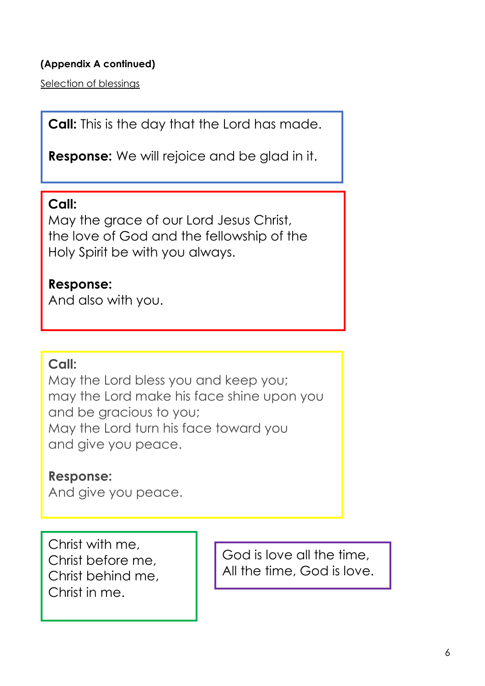# **(Appendix A continued)**

Selection of blessings

**Call:** This is the day that the Lord has made.

**Response:** We will rejoice and be glad in it.

# **Call:**

May the grace of our Lord Jesus Christ, the love of God and the fellowship of the Holy Spirit be with you always.

# **Response:**

And also with you.

# **Call:**

May the Lord bless you and keep you; may the Lord make his face shine upon you and be gracious to you; May the Lord turn his face toward you and give you peace.

# **Response:**

And give you peace.

Christ with me, Christ before me, Christ behind me, Christ in me.

God is love all the time, All the time, God is love.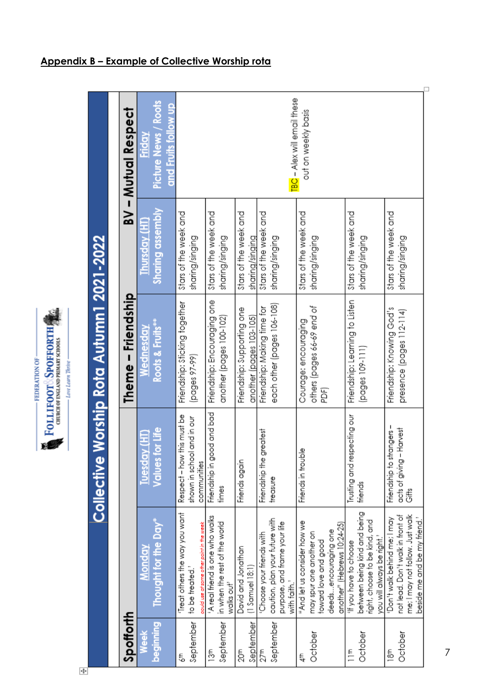| FEDERATION OF | SPOFFORTH<br><b>URCH OF ENGLAND PRIMARY SCHO</b><br><b>DLLIFOOT</b> | hi Thi<br>we Lea |
|---------------|---------------------------------------------------------------------|------------------|
|               |                                                                     |                  |

| l                                              |
|------------------------------------------------|
|                                                |
|                                                |
|                                                |
|                                                |
| i                                              |
|                                                |
|                                                |
|                                                |
|                                                |
| l                                              |
|                                                |
|                                                |
|                                                |
|                                                |
|                                                |
|                                                |
|                                                |
| ĺ                                              |
| i                                              |
|                                                |
| $\overline{\phantom{a}}$                       |
| I                                              |
| Ì                                              |
|                                                |
|                                                |
|                                                |
|                                                |
|                                                |
|                                                |
|                                                |
|                                                |
| <b>Service Service Service Service Service</b> |
|                                                |
|                                                |
|                                                |
|                                                |
|                                                |
|                                                |
|                                                |
|                                                |

| Spottorth        |                                                     |                             | Theme – Friendship             |                         | BV - Mutual Respect         |
|------------------|-----------------------------------------------------|-----------------------------|--------------------------------|-------------------------|-----------------------------|
| <b>Week</b>      | Monday                                              | Tuesday (HT                 | Wednesday                      | Thursday (HT)           | Friday                      |
| <b>BuruunG</b>   | Thought for the Day $^\ast$                         | Values for Life             | Roots & Fruits***              | <b>Sharing assembly</b> | Picture News / Roots        |
|                  |                                                     |                             |                                |                         | and Fruits follow up        |
| 511              | Treat others the way you want                       | Respect - how this must be  | Friendship: Sticking together  | stars of the week and   |                             |
| September        | to be treated."                                     | shown in school and in our  | [pages 97-99]                  | sharing/singing         |                             |
|                  | oould use at some other point in the week           | communities                 |                                |                         |                             |
| 13 <sup>th</sup> | 'A real friend is one who walks                     | Friendship in good and bad  | Friendship: Encouraging one    | stars of the week and   |                             |
| September        | in when the rest of the world<br>walks out'         | times                       | another (pages 100-102)        | sharing/singing         |                             |
| 20th             | David and Jonathan                                  | Friends again               | Friendship: Supporting one     | stars of the week and   |                             |
| September        | $(1$ Samuel $18:1$                                  |                             | another (pages 103-105)        | sharing/singing         |                             |
| $27$ th          | Choose your friends with                            | eatest<br>Friendship the gr | Friendship: Making time for    | stars of the week and   |                             |
| September        | caution, plan your future with                      | treasure                    | each other (pages 106-108)     | sharing/singing         |                             |
|                  | purpose, and frame your life                        |                             |                                |                         |                             |
|                  | with faith."                                        |                             |                                |                         | TBC - Alex will email these |
| €                | "And let us consider how we                         | Friends in trouble          | Courage: encouraging           | stars of the week and   | out on weekly basis         |
| October          | may spur one another on                             |                             | others (pages 66-69 end of     | sharing/singing         |                             |
|                  | toward love and good                                |                             | BE)                            |                         |                             |
|                  | another" (Hebrews 10:24-25)<br>deedsencouraging one |                             |                                |                         |                             |
| 11m              | "If you have to choose                              | Trusting and respecting our | Friendship: Learning to Listen | Stars of the week and   |                             |
| October          | between being kind and being                        | friends                     | $[page:109-111]$               | sharing/singing         |                             |
|                  | right, choose to be kind, and                       |                             |                                |                         |                             |
|                  | you will always be right."                          |                             |                                |                         |                             |
| $\frac{25}{2}$   | Don't walk behind me; I may                         | Friendship to strangers-    | Friendship: Knowing God's      | Stars of the week and   |                             |
| October          | not lead. Don't walk in front of                    | acts of giving - Harvest    | presence (pages 112-114)       | sharing/singing         |                             |
|                  | me; I may not follow. Just walk                     | ŧ                           |                                |                         |                             |
|                  | beside me and be my friend."                        |                             |                                |                         |                             |

# **Appendix B – Example of Collective Worship rota**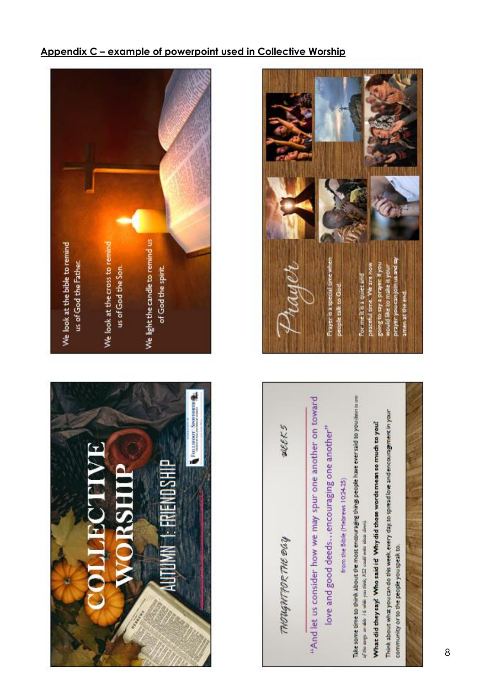# FOLLTOOT SPONSORTH  $\mathbf{F}$ **ERIENOSHIP**





### **Appendix C – example of powerpoint used in Collective Worship**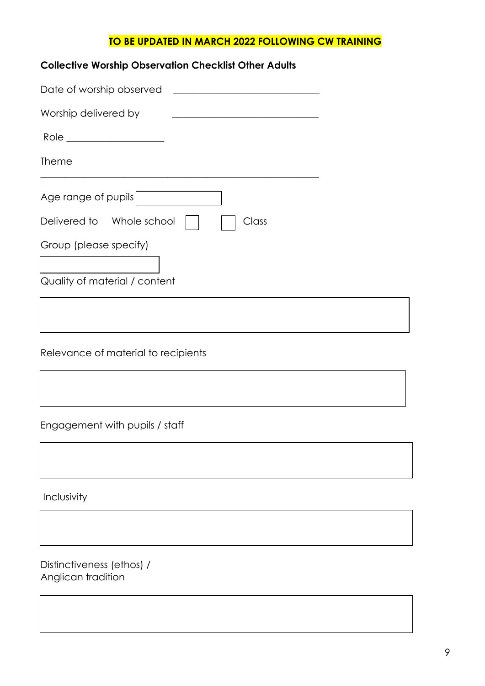#### **TO BE UPDATED IN MARCH 2022 FOLLOWING CW TRAINING**

| <b>Collective Worship Observation Checklist Other Adults</b> |  |
|--------------------------------------------------------------|--|
|                                                              |  |
| Worship delivered by                                         |  |
| $\text{Role} \underline{\hspace{2cm}}$                       |  |
| <b>Theme</b>                                                 |  |
| Age range of pupils                                          |  |
| Delivered to Whole school<br>Class                           |  |
| Group (please specify)                                       |  |
| Quality of material / content                                |  |
|                                                              |  |

Relevance of material to recipients

Engagement with pupils / staff

Inclusivity

Distinctiveness (ethos) / Anglican tradition